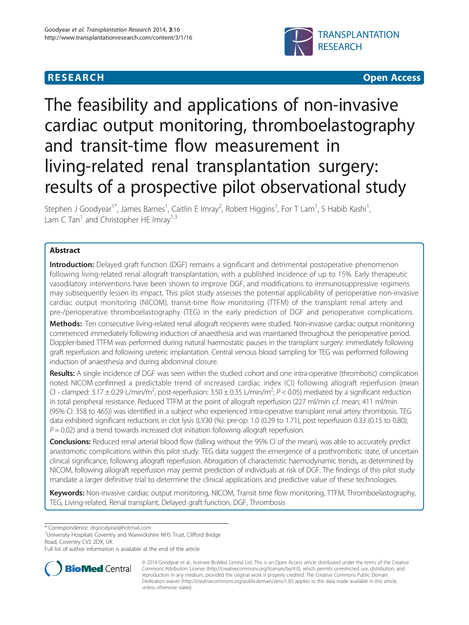# **RESEARCH CHEAR CHEAR CHEAR CHEAR CHEAR CHEAR CHEAR CHEAR CHEAR CHEAR CHEAR CHEAR CHEAR CHEAR CHEAR CHEAR CHEAR**



# The feasibility and applications of non-invasive cardiac output monitoring, thromboelastography and transit-time flow measurement in living-related renal transplantation surgery: results of a prospective pilot observational study

Stephen J Goodyear<sup>1\*</sup>, James Barnes<sup>1</sup>, Caitlin E Imray<sup>2</sup>, Robert Higgins<sup>1</sup>, For T Lam<sup>1</sup>, S Habib Kashi<sup>1</sup> , Lam C Tan<sup>1</sup> and Christopher HE Imray<sup>1,3</sup>

# Abstract

Introduction: Delayed graft function (DGF) remains a significant and detrimental postoperative phenomenon following living-related renal allograft transplantation, with a published incidence of up to 15%. Early therapeutic vasodilatory interventions have been shown to improve DGF, and modifications to immunosuppressive regimens may subsequently lessen its impact. This pilot study assesses the potential applicability of perioperative non-invasive cardiac output monitoring (NICOM), transit-time flow monitoring (TTFM) of the transplant renal artery and pre-/perioperative thromboelastography (TEG) in the early prediction of DGF and perioperative complications.

Methods: Ten consecutive living-related renal allograft recipients were studied. Non-invasive cardiac output monitoring commenced immediately following induction of anaesthesia and was maintained throughout the perioperative period. Doppler-based TTFM was performed during natural haemostatic pauses in the transplant surgery: immediately following graft reperfusion and following ureteric implantation. Central venous blood sampling for TEG was performed following induction of anaesthesia and during abdominal closure.

Results: A single incidence of DGF was seen within the studied cohort and one intra-operative (thrombotic) complication noted. NICOM confirmed a predictable trend of increased cardiac index (CI) following allograft reperfusion (mean CI - clamped: 3.17  $\pm$  0.29 L/min/m<sup>2</sup>, post-reperfusion: 3.50  $\pm$  0.35 L/min/m<sup>2</sup>; P < 0.05) mediated by a significant reduction in total peripheral resistance. Reduced TTFM at the point of allograft reperfusion (227 ml/min c.f. mean; 411 ml/min (95% CI: 358 to 465)) was identified in a subject who experienced intra-operative transplant renal artery thrombosis. TEG data exhibited significant reductions in clot lysis (LY30 (%): pre-op: 1.0 (0.29 to 1.71), post reperfusion 0.33 (0.15 to 0.80);  $P = 0.02$ ) and a trend towards increased clot initiation following allograft reperfusion.

Conclusions: Reduced renal arterial blood flow (falling without the 95% CI of the mean), was able to accurately predict anastomotic complications within this pilot study. TEG data suggest the emergence of a prothrombotic state, of uncertain clinical significance, following allograft reperfusion. Abrogation of characteristic haemodynamic trends, as determined by NICOM, following allograft reperfusion may permit prediction of individuals at risk of DGF. The findings of this pilot study mandate a larger definitive trial to determine the clinical applications and predictive value of these technologies.

Keywords: Non-invasive cardiac output monitoring, NICOM, Transit time flow monitoring, TTFM, Thromboelastography, TEG, Living-related, Renal transplant, Delayed graft function, DGF, Thrombosis

<sup>1</sup>University Hospitals Coventry and Warwickshire NHS Trust, Clifford Bridge Road, Coventry CV2 2DX, UK

Full list of author information is available at the end of the article



© 2014 Goodyear et al.; licensee BioMed Central Ltd. This is an Open Access article distributed under the terms of the Creative Commons Attribution License [\(http://creativecommons.org/licenses/by/4.0\)](http://creativecommons.org/licenses/by/4.0), which permits unrestricted use, distribution, and reproduction in any medium, provided the original work is properly credited. The Creative Commons Public Domain Dedication waiver [\(http://creativecommons.org/publicdomain/zero/1.0/](http://creativecommons.org/publicdomain/zero/1.0/)) applies to the data made available in this article, unless otherwise stated.

<sup>\*</sup> Correspondence: [drgoodyear@hotmail.com](mailto:drgoodyear@hotmail.com) <sup>1</sup>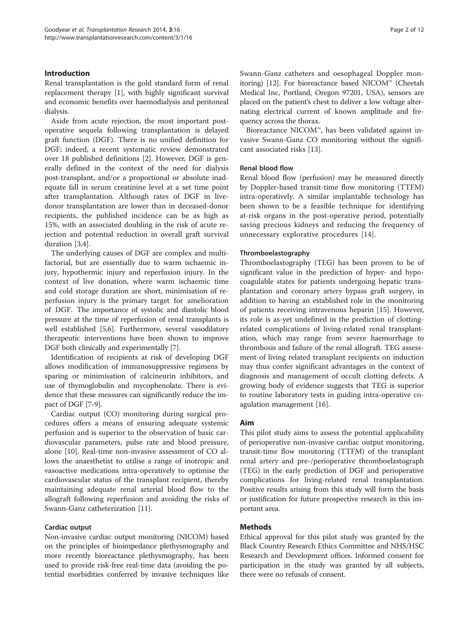# Introduction

Renal transplantation is the gold standard form of renal replacement therapy [\[1](#page-10-0)], with highly significant survival and economic benefits over haemodialysis and peritoneal dialysis.

Aside from acute rejection, the most important postoperative sequela following transplantation is delayed graft function (DGF). There is no unified definition for DGF; indeed, a recent systematic review demonstrated over 18 published definitions [\[2\]](#page-10-0). However, DGF is generally defined in the context of the need for dialysis post-transplant, and/or a proportional or absolute inadequate fall in serum creatinine level at a set time point after transplantation. Although rates of DGF in livedonor transplantation are lower than in deceased-donor recipients, the published incidence can be as high as 15%, with an associated doubling in the risk of acute rejection and potential reduction in overall graft survival duration [[3,4\]](#page-10-0).

The underlying causes of DGF are complex and multifactorial, but are essentially due to warm ischaemic injury, hypothermic injury and reperfusion injury. In the context of live donation, where warm ischaemic time and cold storage duration are short, minimisation of reperfusion injury is the primary target for amelioration of DGF. The importance of systolic and diastolic blood pressure at the time of reperfusion of renal transplants is well established [[5,6\]](#page-10-0). Furthermore, several vasodilatory therapeutic interventions have been shown to improve DGF both clinically and experimentally [\[7](#page-10-0)].

Identification of recipients at risk of developing DGF allows modification of immunosuppressive regimens by sparing or minimisation of calcineurin inhibitors, and use of thymoglobulin and mycophenolate. There is evidence that these measures can significantly reduce the impact of DGF [[7-9\]](#page-10-0).

Cardiac output (CO) monitoring during surgical procedures offers a means of ensuring adequate systemic perfusion and is superior to the observation of basic cardiovascular parameters, pulse rate and blood pressure, alone [\[10](#page-10-0)]. Real-time non-invasive assessment of CO allows the anaesthetist to utilise a range of inotropic and vasoactive medications intra-operatively to optimise the cardiovascular status of the transplant recipient, thereby maintaining adequate renal arterial blood flow to the allograft following reperfusion and avoiding the risks of Swann-Ganz catheterization [\[11](#page-10-0)].

#### Cardiac output

Non-invasive cardiac output monitoring (NICOM) based on the principles of bioimpedance plethysmography and more recently bioreactance plethysmography, has been used to provide risk-free real-time data (avoiding the potential morbidities conferred by invasive techniques like Swann-Ganz catheters and oesophageal Doppler monitoring) [[12](#page-10-0)]. For bioreactance based NICOM™ (Cheetah Medical Inc, Portland, Oregon 97201, USA), sensors are placed on the patient's chest to deliver a low voltage alternating electrical current of known amplitude and frequency across the thorax.

Bioreactance NICOM™, has been validated against invasive Swann-Ganz CO monitoring without the significant associated risks [\[13](#page-10-0)].

#### Renal blood flow

Renal blood flow (perfusion) may be measured directly by Doppler-based transit-time flow monitoring (TTFM) intra-operatively. A similar implantable technology has been shown to be a feasible technique for identifying at-risk organs in the post-operative period, potentially saving precious kidneys and reducing the frequency of unnecessary explorative procedures [\[14](#page-10-0)].

#### Thromboelastography

Thromboelastography (TEG) has been proven to be of significant value in the prediction of hyper- and hypocoagulable states for patients undergoing hepatic transplantation and coronary artery bypass graft surgery, in addition to having an established role in the monitoring of patients receiving intravenous heparin [[15\]](#page-10-0). However, its role is as-yet undefined in the prediction of clottingrelated complications of living-related renal transplantation, which may range from severe haemorrhage to thrombosis and failure of the renal allograft. TEG assessment of living related transplant recipients on induction may thus confer significant advantages in the context of diagnosis and management of occult clotting defects. A growing body of evidence suggests that TEG is superior to routine laboratory tests in guiding intra-operative coagulation management [\[16\]](#page-10-0).

#### Aim

This pilot study aims to assess the potential applicability of perioperative non-invasive cardiac output monitoring, transit-time flow monitoring (TTFM) of the transplant renal artery and pre-/perioperative thromboelastograph (TEG) in the early prediction of DGF and perioperative complications for living-related renal transplantation. Positive results arising from this study will form the basis or justification for future prospective research in this important area.

#### Methods

Ethical approval for this pilot study was granted by the Black Country Research Ethics Committee and NHS/HSC Research and Development offices. Informed consent for participation in the study was granted by all subjects, there were no refusals of consent.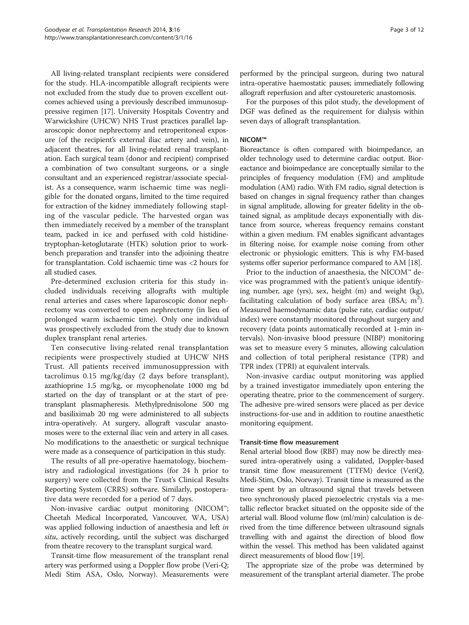All living-related transplant recipients were considered for the study. HLA-incompatible allograft recipients were not excluded from the study due to proven excellent outcomes achieved using a previously described immunosuppressive regimen [\[17](#page-10-0)]. University Hospitals Coventry and Warwickshire (UHCW) NHS Trust practices parallel laparoscopic donor nephrectomy and retroperitoneal exposure (of the recipient's external iliac artery and vein), in adjacent theatres, for all living-related renal transplantation. Each surgical team (donor and recipient) comprised a combination of two consultant surgeons, or a single consultant and an experienced registrar/associate specialist. As a consequence, warm ischaemic time was negligible for the donated organs, limited to the time required for extraction of the kidney immediately following stapling of the vascular pedicle. The harvested organ was then immediately received by a member of the transplant team, packed in ice and perfused with cold histidinetryptophan-ketoglutarate (HTK) solution prior to workbench preparation and transfer into the adjoining theatre for transplantation. Cold ischaemic time was <2 hours for all studied cases.

Pre-determined exclusion criteria for this study included individuals receiving allografts with multiple renal arteries and cases where laparoscopic donor nephrectomy was converted to open nephrectomy (in lieu of prolonged warm ischaemic time). Only one individual was prospectively excluded from the study due to known duplex transplant renal arteries.

Ten consecutive living-related renal transplantation recipients were prospectively studied at UHCW NHS Trust. All patients received immunosuppression with tacrolimus 0.15 mg/kg/day (2 days before transplant), azathioprine 1.5 mg/kg, or mycophenolate 1000 mg bd started on the day of transplant or at the start of pretransplant plasmapheresis. Methylprednisolone 500 mg and basiliximab 20 mg were administered to all subjects intra-operatively. At surgery, allograft vascular anastomoses were to the external iliac vein and artery in all cases. No modifications to the anaesthetic or surgical technique were made as a consequence of participation in this study.

The results of all pre-operative haematology, biochemistry and radiological investigations (for 24 h prior to surgery) were collected from the Trust's Clinical Results Reporting System (CRRS) software. Similarly, postoperative data were recorded for a period of 7 days.

Non-invasive cardiac output monitoring (NICOM™; Cheetah Medical Incorporated, Vancouver, WA, USA) was applied following induction of anaesthesia and left in situ, actively recording, until the subject was discharged from theatre recovery to the transplant surgical ward.

Transit-time flow measurement of the transplant renal artery was performed using a Doppler flow probe (Veri-Q; Medi Stim ASA, Oslo, Norway). Measurements were performed by the principal surgeon, during two natural intra-operative haemostatic pauses; immediately following allograft reperfusion and after cystoureteric anastomosis.

For the purposes of this pilot study, the development of DGF was defined as the requirement for dialysis within seven days of allograft transplantation.

# NICOM™

Bioreactance is often compared with bioimpedance, an older technology used to determine cardiac output. Bioreactance and bioimpedance are conceptually similar to the principles of frequency modulation (FM) and amplitude modulation (AM) radio. With FM radio, signal detection is based on changes in signal frequency rather than changes in signal amplitude, allowing for greater fidelity in the obtained signal, as amplitude decays exponentially with distance from source, whereas frequency remains constant within a given medium. FM enables significant advantages in filtering noise, for example noise coming from other electronic or physiologic emitters. This is why FM-based systems offer superior performance compared to AM [\[18\]](#page-10-0).

Prior to the induction of anaesthesia, the NICOM™ device was programmed with the patient's unique identifying number, age (yrs), sex, height (m) and weight (kg), facilitating calculation of body surface area (BSA;  $m^2$ ). Measured haemodynamic data (pulse rate, cardiac output/ index) were constantly monitored throughout surgery and recovery (data points automatically recorded at 1-min intervals). Non-invasive blood pressure (NIBP) monitoring was set to measure every 5 minutes, allowing calculation and collection of total peripheral resistance (TPR) and TPR index (TPRI) at equivalent intervals.

Non-invasive cardiac output monitoring was applied by a trained investigator immediately upon entering the operating theatre, prior to the commencement of surgery. The adhesive pre-wired sensors were placed as per device instructions-for-use and in addition to routine anaesthetic monitoring equipment.

# Transit-time flow measurement

Renal arterial blood flow (RBF) may now be directly measured intra-operatively using a validated, Doppler-based transit time flow measurement (TTFM) device (VeriQ, Medi-Stim, Oslo, Norway). Transit time is measured as the time spent by an ultrasound signal that travels between two synchronously placed piezoelectric crystals via a metallic reflector bracket situated on the opposite side of the arterial wall. Blood volume flow (ml/min) calculation is derived from the time difference between ultrasound signals travelling with and against the direction of blood flow within the vessel. This method has been validated against direct measurements of blood flow [[19](#page-10-0)].

The appropriate size of the probe was determined by measurement of the transplant arterial diameter. The probe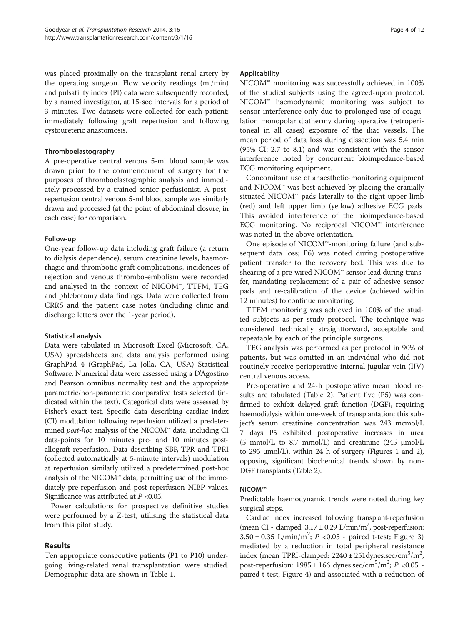was placed proximally on the transplant renal artery by the operating surgeon. Flow velocity readings (ml/min) and pulsatility index (PI) data were subsequently recorded, by a named investigator, at 15-sec intervals for a period of 3 minutes. Two datasets were collected for each patient: immediately following graft reperfusion and following cystoureteric anastomosis.

# Thromboelastography

A pre-operative central venous 5-ml blood sample was drawn prior to the commencement of surgery for the purposes of thromboelastographic analysis and immediately processed by a trained senior perfusionist. A postreperfusion central venous 5-ml blood sample was similarly drawn and processed (at the point of abdominal closure, in each case) for comparison.

# Follow-up

One-year follow-up data including graft failure (a return to dialysis dependence), serum creatinine levels, haemorrhagic and thrombotic graft complications, incidences of rejection and venous thrombo-embolism were recorded and analysed in the context of NICOM™, TTFM, TEG and phlebotomy data findings. Data were collected from CRRS and the patient case notes (including clinic and discharge letters over the 1-year period).

# Statistical analysis

Data were tabulated in Microsoft Excel (Microsoft, CA, USA) spreadsheets and data analysis performed using GraphPad 4 (GraphPad, La Jolla, CA, USA) Statistical Software. Numerical data were assessed using a D'Agostino and Pearson omnibus normality test and the appropriate parametric/non-parametric comparative tests selected (indicated within the text). Categorical data were assessed by Fisher's exact test. Specific data describing cardiac index (CI) modulation following reperfusion utilized a predetermined post-hoc analysis of the NICOM™ data, including CI data-points for 10 minutes pre- and 10 minutes postallograft reperfusion. Data describing SBP, TPR and TPRI (collected automatically at 5-minute intervals) modulation at reperfusion similarly utilized a predetermined post-hoc analysis of the NICOM™ data, permitting use of the immediately pre-reperfusion and post-reperfusion NIBP values. Significance was attributed at  $P < 0.05$ .

Power calculations for prospective definitive studies were performed by a Z-test, utilising the statistical data from this pilot study.

# Results

Ten appropriate consecutive patients (P1 to P10) undergoing living-related renal transplantation were studied. Demographic data are shown in Table [1.](#page-4-0)

# Applicability

NICOM™ monitoring was successfully achieved in 100% of the studied subjects using the agreed-upon protocol. NICOM™ haemodynamic monitoring was subject to sensor-interference only due to prolonged use of coagulation monopolar diathermy during operative (retroperitoneal in all cases) exposure of the iliac vessels. The mean period of data loss during dissection was 5.4 min (95% CI: 2.7 to 8.1) and was consistent with the sensor interference noted by concurrent bioimpedance-based ECG monitoring equipment.

Concomitant use of anaesthetic-monitoring equipment and NICOM™ was best achieved by placing the cranially situated NICOM™ pads laterally to the right upper limb (red) and left upper limb (yellow) adhesive ECG pads. This avoided interference of the bioimpedance-based ECG monitoring. No reciprocal NICOM™ interference was noted in the above orientation.

One episode of NICOM™-monitoring failure (and subsequent data loss; P6) was noted during postoperative patient transfer to the recovery bed. This was due to shearing of a pre-wired NICOM™ sensor lead during transfer, mandating replacement of a pair of adhesive sensor pads and re-calibration of the device (achieved within 12 minutes) to continue monitoring.

TTFM monitoring was achieved in 100% of the studied subjects as per study protocol. The technique was considered technically straightforward, acceptable and repeatable by each of the principle surgeons.

TEG analysis was performed as per protocol in 90% of patients, but was omitted in an individual who did not routinely receive perioperative internal jugular vein (IJV) central venous access.

Pre-operative and 24-h postoperative mean blood results are tabulated (Table [2\)](#page-4-0). Patient five (P5) was confirmed to exhibit delayed graft function (DGF), requiring haemodialysis within one-week of transplantation; this subject's serum creatinine concentration was 243 mcmol/L 7 days P5 exhibited postoperative increases in urea (5 mmol/L to 8.7 mmol/L) and creatinine (245 μmol/L to 295 μmol/L), within 24 h of surgery (Figures [1](#page-5-0) and [2](#page-5-0)), opposing significant biochemical trends shown by non-DGF transplants (Table [2\)](#page-4-0).

# NICOM™

Predictable haemodynamic trends were noted during key surgical steps.

Cardiac index increased following transplant-reperfusion (mean CI - clamped: 3.17 ± 0.29 L/min/m2 , post-reperfusion:  $3.50 \pm 0.35$  L/min/m<sup>2</sup>; *P* <0.05 - paired t-test; Figure [3](#page-5-0)) mediated by a reduction in total peripheral resistance index (mean TPRI-clamped:  $2240 \pm 251$ dynes.sec/cm<sup>5</sup>/m<sup>2</sup>, post-reperfusion:  $1985 \pm 166$  dynes.sec/cm<sup>5</sup>/m<sup>2</sup>; P <0.05 paired t-test; Figure [4](#page-5-0)) and associated with a reduction of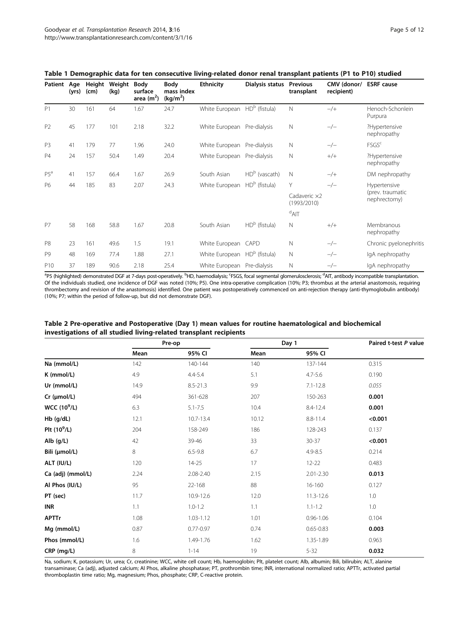| Patient Age     | (yrs) | Height<br>(cm) | Weight<br>(kg) | Body<br>surface<br>area $(m2)$ | <b>Body</b><br>mass index<br>(kg/m <sup>2</sup> ) | <b>Ethnicity</b>                         | Dialysis status | <b>Previous</b><br>transplant | CMV (donor/<br>recipient) | <b>ESRF</b> cause                |
|-----------------|-------|----------------|----------------|--------------------------------|---------------------------------------------------|------------------------------------------|-----------------|-------------------------------|---------------------------|----------------------------------|
| P <sub>1</sub>  | 30    | 161            | 64             | 1.67                           | 24.7                                              | White European HD <sup>b</sup> (fistula) |                 | $\mathbb N$                   | $-/+$                     | Henoch-Schonlein<br>Purpura      |
| P <sub>2</sub>  | 45    | 177            | 101            | 2.18                           | 32.2                                              | White European                           | Pre-dialysis    | $\mathbb N$                   | $-/-$                     | ?Hypertensive<br>nephropathy     |
| P <sub>3</sub>  | 41    | 179            | 77             | 1.96                           | 24.0                                              | White European Pre-dialysis              |                 | Ν                             | $-/-$                     | <b>FSGS<sup>c</sup></b>          |
| <b>P4</b>       | 24    | 157            | 50.4           | 1.49                           | 20.4                                              | White European                           | Pre-dialysis    | N                             | $^{+/+}$                  | ?Hypertensive<br>nephropathy     |
| $P5^a$          | 41    | 157            | 66.4           | 1.67                           | 26.9                                              | South Asian                              | $HDb$ (vascath) | N                             | $-/+$                     | DM nephropathy                   |
| P6              | 44    | 185            | 83             | 2.07                           | 24.3                                              | White European                           | $HDb$ (fistula) | Y                             | $-/-$                     | Hypertensive                     |
|                 |       |                |                |                                |                                                   |                                          |                 | Cadaveric x2<br>(1993/2010)   |                           | (prev. traumatic<br>nephrectomy) |
|                 |       |                |                |                                |                                                   |                                          |                 | $A^d$ AIT                     |                           |                                  |
| P7              | 58    | 168            | 58.8           | 1.67                           | 20.8                                              | South Asian                              | $HDb$ (fistula) | $\mathsf{N}$                  | $+/+$                     | Membranous<br>nephropathy        |
| P <sub>8</sub>  | 23    | 161            | 49.6           | 1.5                            | 19.1                                              | White European                           | CAPD            | $\mathbb N$                   | $-/-$                     | Chronic pyelonephritis           |
| P <sub>9</sub>  | 48    | 169            | 77.4           | 1.88                           | 27.1                                              | White European HD <sup>b</sup> (fistula) |                 | N                             | $-/-$                     | IgA nephropathy                  |
| P <sub>10</sub> | 37    | 189            | 90.6           | 2.18                           | 25.4                                              | White European Pre-dialysis              |                 | N                             | $-/-$                     | IgA nephropathy                  |

# <span id="page-4-0"></span>Table 1 Demographic data for ten consecutive living-related donor renal transplant patients (P1 to P10) studied

<sup>a</sup>P5 (highlighted) demonstrated DGF at 7-days post-operatively. <sup>b</sup>HD, haemodialysis; <sup>c</sup>FSGS, focal segmental glomerulosclerosis; <sup>d</sup>AIT, antibody incompatible transplantation. Of the individuals studied, one incidence of DGF was noted (10%; P5). One intra-operative complication (10%; P3; thrombus at the arterial anastomosis, requiring thrombectomy and revision of the anastomosis) identified. One patient was postoperatively commenced on anti-rejection therapy (anti-thymoglobulin antibody) (10%; P7; within the period of follow-up, but did not demonstrate DGF).

| Table 2 Pre-operative and Postoperative (Day 1) mean values for routine haematological and biochemical |
|--------------------------------------------------------------------------------------------------------|
| investigations of all studied living-related transplant recipients                                     |

|                               | Pre-op |               |       | Day 1         | Paired t-test P value |  |
|-------------------------------|--------|---------------|-------|---------------|-----------------------|--|
|                               | Mean   | 95% CI        | Mean  | 95% CI        |                       |  |
| Na (mmol/L)                   | 142    | 140-144       | 140   | 137-144       | 0.315                 |  |
| K (mmol/L)                    | 4.9    | 4.4-5.4       | 5.1   | $4.7 - 5.6$   | 0.190                 |  |
| Ur (mmol/L)                   | 14.9   | $8.5 - 21.3$  | 9.9   | $7.1 - 12.8$  | 0.055                 |  |
| $Cr$ ( $µmol/L$ )             | 494    | 361-628       | 207   | 150-263       | 0.001                 |  |
| <b>WCC (10<sup>9</sup>/L)</b> | 6.3    | $5.1 - 7.5$   | 10.4  | 8.4-12.4      | 0.001                 |  |
| Hb (g/dL)                     | 12.1   | 10.7-13.4     | 10.12 | 8.8-11.4      | < 0.001               |  |
| Plt $(10^9/L)$                | 204    | 158-249       | 186   | 128-243       | 0.137                 |  |
| Alb $(g/L)$                   | 42     | 39-46         | 33    | $30 - 37$     | < 0.001               |  |
| Bili (µmol/L)                 | 8      | $6.5 - 9.8$   | 6.7   | $4.9 - 8.5$   | 0.214                 |  |
| ALT (IU/L)                    | 120    | $14 - 25$     | 17    | $12 - 22$     | 0.483                 |  |
| Ca (adj) (mmol/L)             | 2.24   | 2.08-2.40     | 2.15  | $2.01 - 2.30$ | 0.013                 |  |
| Al Phos (IU/L)                | 95     | 22-168        | 88    | 16-160        | 0.127                 |  |
| PT (sec)                      | 11.7   | 10.9-12.6     | 12.0  | 11.3-12.6     | 1.0                   |  |
| <b>INR</b>                    | 1.1    | $1.0 - 1.2$   | 1.1   | $1.1 - 1.2$   | 1.0                   |  |
| <b>APTTr</b>                  | 1.08   | $1.03 - 1.12$ | 1.01  | $0.96 - 1.06$ | 0.104                 |  |
| Mg (mmol/L)                   | 0.87   | $0.77 - 0.97$ | 0.74  | $0.65 - 0.83$ | 0.003                 |  |
| Phos (mmol/L)                 | 1.6    | 1.49-1.76     | 1.62  | 1.35-1.89     | 0.963                 |  |
| CRP (mg/L)                    | 8      | $1 - 14$      | 19    | $5 - 32$      | 0.032                 |  |

Na, sodium; K, potassium; Ur, urea; Cr, creatinine; WCC, white cell count; Hb, haemoglobin; Plt, platelet count; Alb, albumin; Bili, bilirubin; ALT, alanine transaminase; Ca (adj), adjusted calcium; Al Phos, alkaline phosphatase; PT, prothrombin time; INR, international normalized ratio; APTTr, activated partial thromboplastin time ratio; Mg, magnesium; Phos, phosphate; CRP, C-reactive protein.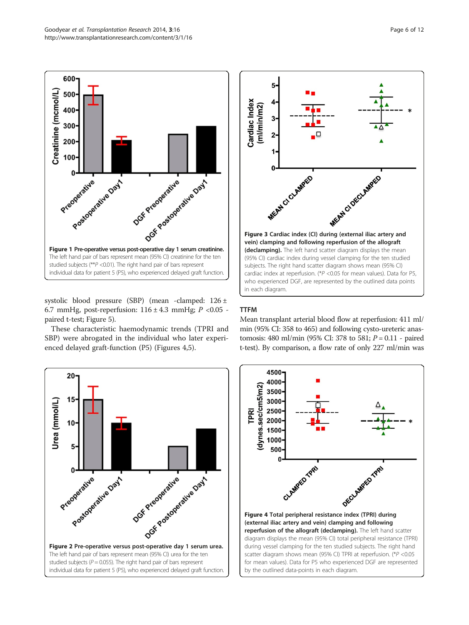<span id="page-5-0"></span>

systolic blood pressure (SBP) (mean -clamped: 126 ± 6.7 mmHg, post-reperfusion:  $116 \pm 4.3$  mmHg;  $P < 0.05$  paired t-test; Figure [5](#page-6-0)).

These characteristic haemodynamic trends (TPRI and SBP) were abrogated in the individual who later experienced delayed graft-function (P5) (Figures 4,5).





# TTFM

Mean transplant arterial blood flow at reperfusion: 411 ml/ min (95% CI: 358 to 465) and following cysto-ureteric anastomosis: 480 ml/min (95% CI: 378 to 581;  $P = 0.11$  - paired t-test). By comparison, a flow rate of only 227 ml/min was

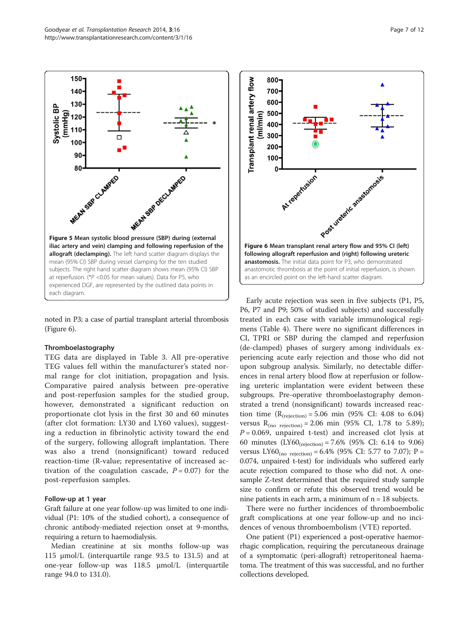<span id="page-6-0"></span>

noted in P3; a case of partial transplant arterial thrombosis (Figure 6).

#### Thromboelastography

TEG data are displayed in Table [3](#page-7-0). All pre-operative TEG values fell within the manufacturer's stated normal range for clot initiation, propagation and lysis. Comparative paired analysis between pre-operative and post-reperfusion samples for the studied group, however, demonstrated a significant reduction on proportionate clot lysis in the first 30 and 60 minutes (after clot formation: LY30 and LY60 values), suggesting a reduction in fibrinolytic activity toward the end of the surgery, following allograft implantation. There was also a trend (nonsignificant) toward reduced reaction-time (R-value; representative of increased activation of the coagulation cascade,  $P = 0.07$  for the post-reperfusion samples.

#### Follow-up at 1 year

Graft failure at one year follow-up was limited to one individual (P1: 10% of the studied cohort), a consequence of chronic antibody-mediated rejection onset at 9-months, requiring a return to haemodialysis.

Median creatinine at six months follow-up was 115 μmol/L (interquartile range 93.5 to 131.5) and at one-year follow-up was 118.5 μmol/L (interquartile range 94.0 to 131.0).



Early acute rejection was seen in five subjects (P1, P5, P6, P7 and P9; 50% of studied subjects) and successfully treated in each case with variable immunological regimens (Table [4\)](#page-8-0). There were no significant differences in CI, TPRI or SBP during the clamped and reperfusion (de-clamped) phases of surgery among individuals experiencing acute early rejection and those who did not upon subgroup analysis. Similarly, no detectable differences in renal artery blood flow at reperfusion or following ureteric implantation were evident between these subgroups. Pre-operative thromboelastography demonstrated a trend (nonsignificant) towards increased reaction time  $(R_{\text{(rejection)}} = 5.06 \text{ min } (95\% \text{ CI: } 4.08 \text{ to } 6.04)$ versus  $R_{(no \text{ rejection})} = 2.06 \text{ min } (95\% \text{ CI}, 1.78 \text{ to } 5.89);$  $P = 0.069$ , unpaired t-test) and increased clot lysis at 60 minutes  $(LY60_{(rejection)} = 7.6\%$  (95% CI: 6.14 to 9.06) versus LY60<sub>(no rejection)</sub> = 6.4% (95% CI: 5.77 to 7.07); P = 0.074, unpaired t-test) for individuals who suffered early acute rejection compared to those who did not. A onesample Z-test determined that the required study sample size to confirm or refute this observed trend would be nine patients in each arm, a minimum of  $n = 18$  subjects.

There were no further incidences of thromboembolic graft complications at one year follow-up and no incidences of venous thromboembolism (VTE) reported.

One patient (P1) experienced a post-operative haemorrhagic complication, requiring the percutaneous drainage of a symptomatic (peri-allograft) retroperitoneal haematoma. The treatment of this was successful, and no further collections developed.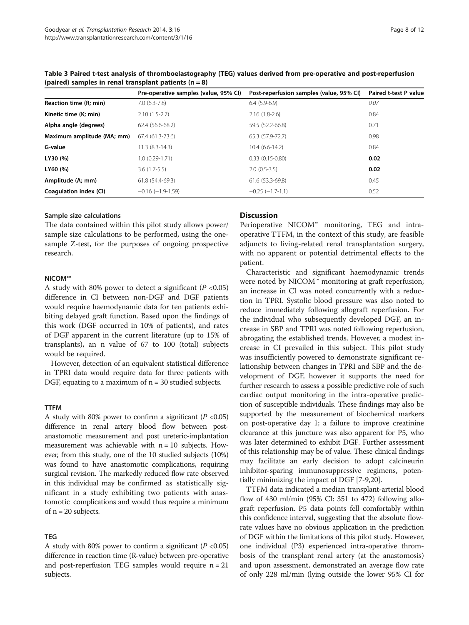|                            | Pre-operative samples (value, 95% CI) | Post-reperfusion samples (value, 95% CI) | Paired t-test P value |
|----------------------------|---------------------------------------|------------------------------------------|-----------------------|
| Reaction time (R; min)     | $7.0(6.3-7.8)$                        | $6.4(5.9-6.9)$                           | 0.07                  |
| Kinetic time (K; min)      | $2.10(1.5-2.7)$                       | $2.16(1.8-2.6)$                          | 0.84                  |
| Alpha angle (degrees)      | 62.4 (56.6-68.2)                      | 59.5 (52.2-66.8)                         | 0.71                  |
| Maximum amplitude (MA; mm) | 67.4 (61.3-73.6)                      | 65.3 (57.9-72.7)                         | 0.98                  |
| G-value                    | 11.3 (8.3-14.3)                       | $10.4(6.6-14.2)$                         | 0.84                  |
| LY30 (%)                   | 1.0 (0.29-1.71)                       | $0.33(0.15-0.80)$                        | 0.02                  |
| LY60 (%)                   | $3.6(1.7-5.5)$                        | $2.0(0.5-3.5)$                           | 0.02                  |
| Amplitude (A; mm)          | 61.8 (54.4-69.3)                      | 61.6 (53.3-69.8)                         | 0.45                  |
| Coagulation index (CI)     | $-0.16$ ( $-1.9-1.59$ )               | $-0.25$ $(-1.7-1.1)$                     | 0.52                  |

<span id="page-7-0"></span>Table 3 Paired t-test analysis of thromboelastography (TEG) values derived from pre-operative and post-reperfusion (paired) samples in renal transplant patients  $(n = 8)$ 

#### Sample size calculations

The data contained within this pilot study allows power/ sample size calculations to be performed, using the onesample Z-test, for the purposes of ongoing prospective research.

#### NICOM™

A study with 80% power to detect a significant ( $P < 0.05$ ) difference in CI between non-DGF and DGF patients would require haemodynamic data for ten patients exhibiting delayed graft function. Based upon the findings of this work (DGF occurred in 10% of patients), and rates of DGF apparent in the current literature (up to 15% of transplants), an n value of 67 to 100 (total) subjects would be required.

However, detection of an equivalent statistical difference in TPRI data would require data for three patients with DGF, equating to a maximum of  $n = 30$  studied subjects.

#### TTFM

A study with 80% power to confirm a significant ( $P < 0.05$ ) difference in renal artery blood flow between postanastomotic measurement and post ureteric-implantation measurement was achievable with  $n = 10$  subjects. However, from this study, one of the 10 studied subjects (10%) was found to have anastomotic complications, requiring surgical revision. The markedly reduced flow rate observed in this individual may be confirmed as statistically significant in a study exhibiting two patients with anastomotic complications and would thus require a minimum of  $n = 20$  subjects.

# TEG

A study with 80% power to confirm a significant  $(P < 0.05)$ difference in reaction time (R-value) between pre-operative and post-reperfusion TEG samples would require  $n = 21$ subjects.

# **Discussion**

Perioperative NICOM™ monitoring, TEG and intraoperative TTFM, in the context of this study, are feasible adjuncts to living-related renal transplantation surgery, with no apparent or potential detrimental effects to the patient.

Characteristic and significant haemodynamic trends were noted by NICOM™ monitoring at graft reperfusion; an increase in CI was noted concurrently with a reduction in TPRI. Systolic blood pressure was also noted to reduce immediately following allograft reperfusion. For the individual who subsequently developed DGF, an increase in SBP and TPRI was noted following reperfusion, abrogating the established trends. However, a modest increase in CI prevailed in this subject. This pilot study was insufficiently powered to demonstrate significant relationship between changes in TPRI and SBP and the development of DGF, however it supports the need for further research to assess a possible predictive role of such cardiac output monitoring in the intra-operative prediction of susceptible individuals. These findings may also be supported by the measurement of biochemical markers on post-operative day 1; a failure to improve creatinine clearance at this juncture was also apparent for P5, who was later determined to exhibit DGF. Further assessment of this relationship may be of value. These clinical findings may facilitate an early decision to adopt calcineurin inhibitor-sparing immunosuppressive regimens, potentially minimizing the impact of DGF [\[7](#page-10-0)-[9](#page-10-0),[20](#page-11-0)].

TTFM data indicated a median transplant-arterial blood flow of 430 ml/min (95% CI: 351 to 472) following allograft reperfusion. P5 data points fell comfortably within this confidence interval, suggesting that the absolute flowrate values have no obvious application in the prediction of DGF within the limitations of this pilot study. However, one individual (P3) experienced intra-operative thrombosis of the transplant renal artery (at the anastomosis) and upon assessment, demonstrated an average flow rate of only 228 ml/min (lying outside the lower 95% CI for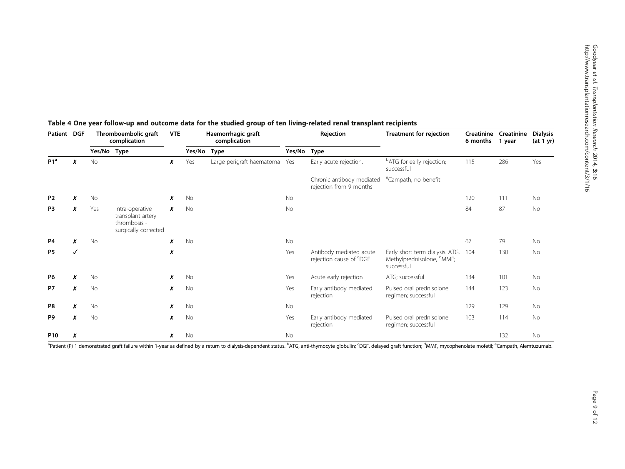| Patient DGF          |   |             | Thromboembolic graft<br>complication                                         |                  | Haemorrhagic graft<br>complication |                           | Rejection   |                                                                | Treatment for rejection                                                                | Creatinine<br>6 months | Creatinine<br>1 year | <b>Dialysis</b><br>(at 1 yr) |
|----------------------|---|-------------|------------------------------------------------------------------------------|------------------|------------------------------------|---------------------------|-------------|----------------------------------------------------------------|----------------------------------------------------------------------------------------|------------------------|----------------------|------------------------------|
|                      |   | Yes/No Type |                                                                              |                  | Yes/No                             | Type                      | Yes/No Type |                                                                |                                                                                        |                        |                      |                              |
| P1 <sup>a</sup><br>x |   | No          |                                                                              | x                | Yes                                | Large perigraft haematoma | Yes         | Early acute rejection.                                         | <sup>b</sup> ATG for early rejection;<br>successful                                    | 115                    | 286                  | Yes                          |
|                      |   |             |                                                                              |                  |                                    |                           |             | Chronic antibody mediated<br>rejection from 9 months           | <sup>e</sup> Campath, no benefit                                                       |                        |                      |                              |
| P <sub>2</sub>       | x | No          |                                                                              | x                | No                                 |                           | No          |                                                                |                                                                                        | 120                    | 111                  | No                           |
| P <sub>3</sub>       | x | Yes         | Intra-operative<br>transplant artery<br>thrombosis -<br>surgically corrected | $\boldsymbol{x}$ | <b>No</b>                          |                           | No          |                                                                |                                                                                        | 84                     | 87                   | No                           |
| P4                   | x | No          |                                                                              | x                | No                                 |                           | No          |                                                                |                                                                                        | 67                     | 79                   | No                           |
| <b>P5</b>            | ✓ |             |                                                                              | X                |                                    |                           | Yes         | Antibody mediated acute<br>rejection cause of <sup>c</sup> DGF | Early short term dialysis. ATG,<br>Methylprednisolone, <sup>a</sup> MMF;<br>successful | 104                    | 130                  | No                           |
| P6                   | x | <b>No</b>   |                                                                              | x                | No                                 |                           | Yes         | Acute early rejection                                          | ATG; successful                                                                        | 134                    | 101                  | No                           |
| <b>P7</b>            | x | <b>No</b>   |                                                                              | x                | No                                 |                           | Yes         | Early antibody mediated<br>rejection                           | Pulsed oral prednisolone<br>regimen; successful                                        | 144                    | 123                  | No                           |
| P8                   | x | No          |                                                                              | x                | No                                 |                           | No          |                                                                |                                                                                        | 129                    | 129                  | No                           |
| P9                   | x | <b>No</b>   |                                                                              | x                | No                                 |                           | Yes         | Early antibody mediated<br>rejection                           | Pulsed oral prednisolone<br>regimen; successful                                        | 103                    | 114                  | No                           |
| P <sub>10</sub>      | x |             |                                                                              | x                | No                                 |                           | No          |                                                                |                                                                                        |                        | 132                  | No                           |

# <span id="page-8-0"></span>Table 4 One year follow-up and outcome data for the studied group of ten living-related renal transplant recipients

<sup>a</sup>Patient (P) 1 demonstrated graft failure within 1-year as defined by a return to dialysis-dependent status. <sup>b</sup>ATG, anti-thymocyte globulin; 'DGF, delayed graft function; <sup>d</sup>MMF, mycophenolate mofetil; <sup>e</sup>Campath, Alemt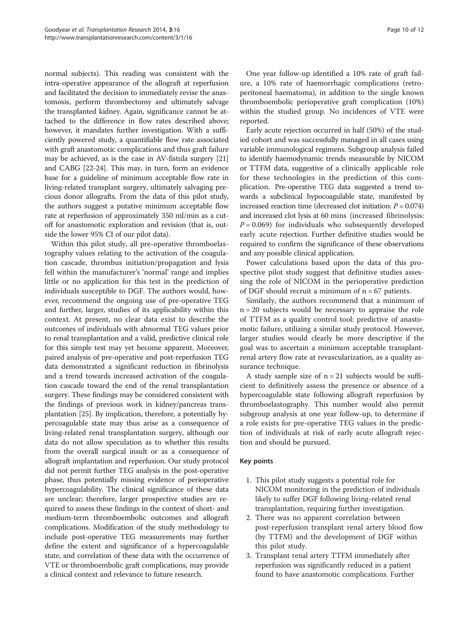normal subjects). This reading was consistent with the intra-operative appearance of the allograft at reperfusion and facilitated the decision to immediately revise the anastomosis, perform thrombectomy and ultimately salvage the transplanted kidney. Again, significance cannot be attached to the difference in flow rates described above; however, it mandates further investigation. With a sufficiently powered study, a quantifiable flow rate associated with graft anastomotic complications and thus graft failure may be achieved, as is the case in AV-fistula surgery [[21](#page-11-0)] and CABG [[22](#page-11-0)-[24](#page-11-0)]. This may, in turn, form an evidence base for a guideline of minimum acceptable flow rate in living-related transplant surgery, ultimately salvaging precious donor allografts. From the data of this pilot study, the authors suggest a putative minimum acceptable flow rate at reperfusion of approximately 350 ml/min as a cutoff for anastomotic exploration and revision (that is, outside the lower 95% CI of our pilot data).

Within this pilot study, all pre-operative thromboelastography values relating to the activation of the coagulation cascade, thrombus initiation/propagation and lysis fell within the manufacturer's 'normal' range and implies little or no application for this test in the prediction of individuals susceptible to DGF. The authors would, however, recommend the ongoing use of pre-operative TEG and further, larger, studies of its applicability within this context. At present, no clear data exist to describe the outcomes of individuals with abnormal TEG values prior to renal transplantation and a valid, predictive clinical role for this simple test may yet become apparent. Moreover, paired analysis of pre-operative and post-reperfusion TEG data demonstrated a significant reduction in fibrinolysis and a trend towards increased activation of the coagulation cascade toward the end of the renal transplantation surgery. These findings may be considered consistent with the findings of previous work in kidney/pancreas transplantation [\[25\]](#page-11-0). By implication, therefore, a potentially hypercoagulable state may thus arise as a consequence of living-related renal transplantation surgery, although our data do not allow speculation as to whether this results from the overall surgical insult or as a consequence of allograft implantation and reperfusion. Our study protocol did not permit further TEG analysis in the post-operative phase, thus potentially missing evidence of perioperative hypercoagulability. The clinical significance of these data are unclear; therefore, larger prospective studies are required to assess these findings in the context of short- and medium-term thromboembolic outcomes and allograft complications. Modification of the study methodology to include post-operative TEG measurements may further define the extent and significance of a hypercoagulable state, and correlation of these data with the occurrence of VTE or thromboembolic graft complications, may provide a clinical context and relevance to future research.

One year follow-up identified a 10% rate of graft failure, a 10% rate of haemorrhagic complications (retroperitoneal haematoma), in addition to the single known thromboembolic perioperative graft complication (10%) within the studied group. No incidences of VTE were reported.

Early acute rejection occurred in half (50%) of the studied cohort and was successfully managed in all cases using variable immunological regimens. Subgroup analysis failed to identify haemodynamic trends measurable by NICOM or TTFM data, suggestive of a clinically applicable role for these technologies in the prediction of this complication. Pre-operative TEG data suggested a trend towards a subclinical hypocoagulable state, manifested by increased reaction time (decreased clot initiation:  $P = 0.074$ ) and increased clot lysis at 60 mins (increased fibrinolysis:  $P = 0.069$ ) for individuals who subsequently developed early acute rejection. Further definitive studies would be required to confirm the significance of these observations and any possible clinical application.

Power calculations based upon the data of this prospective pilot study suggest that definitive studies assessing the role of NICOM in the perioperative prediction of DGF should recruit a minimum of  $n = 67$  patients.

Similarly, the authors recommend that a minimum of n = 20 subjects would be necessary to appraise the role of TTFM as a quality control tool: predictive of anastomotic failure, utilizing a similar study protocol. However, larger studies would clearly be more descriptive if the goal was to ascertain a minimum acceptable transplantrenal artery flow rate at revascularization, as a quality assurance technique.

A study sample size of  $n = 21$  subjects would be sufficient to definitively assess the presence or absence of a hypercoagulable state following allograft reperfusion by thromboelastography. This number would also permit subgroup analysis at one year follow-up, to determine if a role exists for pre-operative TEG values in the prediction of individuals at risk of early acute allograft rejection and should be pursued.

#### Key points

- 1. This pilot study suggests a potential role for NICOM monitoring in the prediction of individuals likely to suffer DGF following living-related renal transplantation, requiring further investigation.
- 2. There was no apparent correlation between post-reperfusion transplant renal artery blood flow (by TTFM) and the development of DGF within this pilot study.
- 3. Transplant renal artery TTFM immediately after reperfusion was significantly reduced in a patient found to have anastomotic complications. Further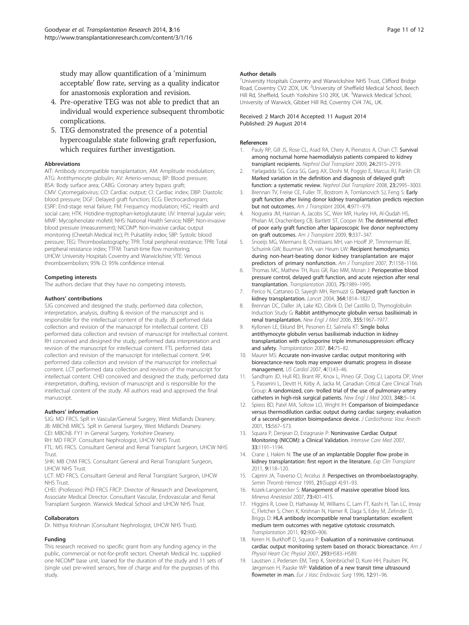<span id="page-10-0"></span>study may allow quantification of a 'minimum acceptable' flow rate, serving as a quality indicator for anastomosis exploration and revision.

- 4. Pre-operative TEG was not able to predict that an individual would experience subsequent thrombotic complications.
- 5. TEG demonstrated the presence of a potential hypercoagulable state following graft reperfusion, which requires further investigation.

#### Abbreviations

AIT: Antibody incompatible transplantation; AM: Amplitude modulation; ATG: Antithymocyte globulin; AV: Arterio-venous; BP: Blood pressure; BSA: Body surface area; CABG: Coronary artery bypass graft; CMV: Cytomegalovirus; CO: Cardiac output; CI: Cardiac index; DBP: Diastolic blood pressure; DGF: Delayed graft function; ECG: Electrocardiogram; ESRF: End-stage renal failure; FM: Frequency modulation; HSC: Health and social care; HTK: Histidine-tryptophan-ketoglutarate; IJV: Internal jugular vein; MMF: Mycophenolate mofetil; NHS: National Health Service; NIBP: Non-invasive blood pressure (measurement); NICOM®: Non-invasive cardiac output monitoring (Cheetah Medical Inc); PI: Pulsatility index; SBP: Systolic blood pressure; TEG: Thromboelastography; TPR: Total peripheral resistance; TPRI: Total peripheral resistance index; TTFM: Transit-time flow monitoring; UHCW: University Hospitals Coventry and Warwickshire; VTE: Venous thromboembolism; 95% CI: 95% confidence interval.

#### Competing interests

The authors declare that they have no competing interests.

#### Authors' contributions

SJG conceived and designed the study, performed data collection, interpretation, analysis, drafting & revision of the manuscript and is responsible for the intellectual content of the study. JB perfomed data collection and revision of the manuscript for intellectual content. CEI performed data collection and revision of manuscript for intellectual content. RH conceived and designed the study, performed data interpretation and revision of the manuscript for intellectual content. FTL performed data collection and revision of the manuscript for intellectual content. SHK performed data collection and revision of the manuscript for intellectual content. LCT performed data collection and revision of the manuscript for intellectual content. CHEI conceived and designed the study, performed data interpretation, drafting, revision of manuscript and is responsible for the intellectual content of the study. All authors read and approved the final manuscript.

#### Authors' information

SJG: MD FRCS. SpR in Vascular/General Surgery, West Midlands Deanery. JB: MBChB MRCS. SpR in General Surgery, West Midlands Deanery.

CEI: MBChB. FY1 in General Surgery, Yorkshire Deanery.

RH: MD FRCP. Consultant Nephrologist, UHCW NHS Trust. FTL: MS FRCS. Consultant General and Renal Transplant Surgeon, UHCW NHS Trust.

SHK: MB ChM FRCS. Consultant General and Renal Transplant Surgeon, UHCW NHS Trust.

LCT: MD FRCS. Consultant General and Renal Transplant Surgeon, UHCW NHS Trust.

CHEI: (Professor) PhD FRCS FRCP. Director of Research and Development, Associate Medical Director. Consultant Vascular, Endovascular and Renal Transplant Surgeon. Warwick Medical School and UHCW NHS Trust.

#### Collaborators

Dr. Nithya Krishnan (Consultant Nephrologist, UHCW NHS Trust).

#### Funding

This research received no specific grant from any funding agency in the public, commercial or not-for-profit sectors. Cheetah Medical Inc. supplied one NICOM® base unit, loaned for the duration of the study and 11 sets of (single use) pre-wired sensors, free of charge and for the purposes of this study.

#### Author details

<sup>1</sup>University Hospitals Coventry and Warwickshire NHS Trust, Clifford Bridge Road, Coventry CV2 2DX, UK. <sup>2</sup>University of Sheffield Medical School, Beech Hill Rd, Sheffield, South Yorkshire S10 2RX, UK. <sup>3</sup>Warwick Medical School University of Warwick, Gibbet Hill Rd, Coventry CV4 7AL, UK.

#### Received: 2 March 2014 Accepted: 11 August 2014 Published: 29 August 2014

#### References

- Pauly RP, Gill JS, Rose CL, Asad RA, Chery A, Pierratos A, Chan CT: Survival among nocturnal home haemodialysis patients compared to kidney transplant recipients. Nephrol Dial Transplant 2009, 24:2915–2919.
- 2. Yarlagadda SG, Coca SG, Garg AX, Doshi M, Poggio E, Marcus RJ, Parikh CR: Marked variation in the definition and diagnosis of delayed graft function: a systematic review. Nephrol Dial Transplant 2008, 23:2995–3003.
- 3. Brennan TV, Freise CE, Fuller TF, Bostrom A, Tomlanovich SJ, Feng S: Early graft function after living donor kidney transplantation predicts rejection but not outcomes. Am J Transplant 2004, 4:971–979.
- 4. Nogueira JM, Haririan A, Jacobs SC, Weir MR, Hurley HA, Al-Qudah HS, Phelan M, Drachenberg CB, Bartlett ST, Cooper M: The detrimental effect of poor early graft function after laparoscopic live donor nephrectomy on graft outcomes. Am J Transplant 2009, 9:337–347.
- 5. Snoeijs MG, Wiermans B, Christiaans MH, van Hooff JP, Timmerman BE, Schurink GW, Buurman WA, van Heurn LW: Recipient hemodynamics during non-heart-beating donor kidney transplantation are major predictors of primary nonfunction. Am J Transplant 2007, 7:1158-1166.
- 6. Thomas MC, Mathew TH, Russ GR, Rao MM, Moran J: Perioperative blood pressure control, delayed graft function, and acute rejection after renal transplantation. Transplantation 2003, 75:1989–1995.
- 7. Perico N, Cattaneo D, Sayegh MH, Remuzzi G: Delayed graft function in kidney transplantation. Lancet 2004, 364:1814–1827.
- 8. Brennan DC, Daller JA, Lake KD, Cibrik D, Del Castillo D, Thymoglobulin Induction Study G: Rabbit antithymocyte globulin versus basiliximab in renal transplantation. New Engl J Med 2006, 355:1967–1977.
- 9. Kyllonen LE, Eklund BH, Pesonen EJ, Salmela KT: Single bolus antithymocyte globulin versus basiliximab induction in kidney transplantation with cyclosporine triple immunosuppression: efficacy and safety. Transplantation 2007, 84:75–82.
- 10. Maurer MS: Accurate non-invasive cardiac output monitoring with bioreactance-new tools may empower dramatic progress in disease management. US Cardiol 2007, 4(1):43–46.
- 11. Sandham JD, Hull RD, Brant RF, Knox L, Pineo GF, Doig CJ, Laporta DP, Viner S, Passerini L, Devitt H, Kirby A, Jacka M, Canadian Critical Care Clinical Trials Group: A randomized, con- trolled trial of the use of pulmonary-artery catheters in high-risk surgical patients. New Engl J Med 2003, 348:5–14.
- 12. Spiess BD, Patel MA, Soltow LO, Wright IH: Comparison of bioimpedance versus thermodilution cardiac output during cardiac surgery; evaluation of a second-generation bioimpedance device. J Cardiothorac Vasc Anesth 2001, 15:567–573.
- 13. Squara P, Denjean D, Estagnasie P: Noninvasive Cardiac Output Monitoring (NICOM): a Clinical Validation. Intensive Care Med 2007, 33:1191–1194.
- 14. Crane J, Hakim N: The use of an implantable Doppler flow probe in kidney transplantation: first report in the literature. Exp Clin Transplant 2011, 9:118–120.
- 15. Caprini JA, Traverso CI, Arcelus JI: Perspectives on thromboelastography. Semin Thromb Hemost 1995, 21 (Suppl 4):91-93.
- 16. Kozek-Langenecker S: Management of massive operative blood loss. Minerva Anestesiol 2007, 73:401–415.
- 17. Higgins R, Lowe D, Hathaway M, Williams C, Lam FT, Kashi H, Tan LC, Imray C, Fletcher S, Chen K, Krishnan N, Hamer R, Daga S, Edey M, Zehnder D, Briggs D: HLA antibody incompatible renal transplantation: excellent medium term outcomes with negative cytotoxic crossmatch. Transplantation 2011, 92:900–906.
- 18. Keren H, Burkhoff D, Squara P: Evaluation of a noninvasive continuous cardiac output monitoring system based on thoracic bioreactance. Am J Physiol Heart Circ Physiol 2007, 293:H583-H589.
- 19. Laustsen J, Pedersen EM, Terp K, Steinbrüchel D, Kure HH, Paulsen PK, Jørgensen H, Paaske WP: Validation of a new transit time ultrasound flowmeter in man. Eur J Vasc Endovasc Surg 1996, 12:91-96.